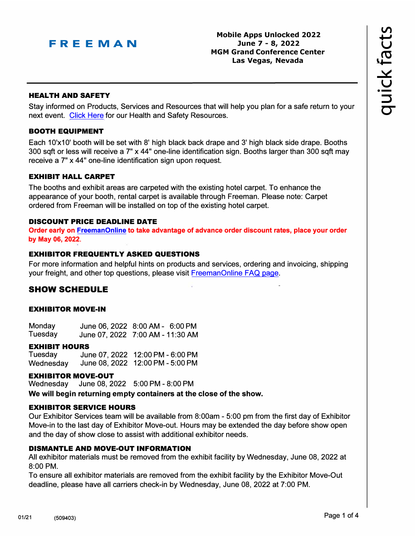

**Mobile Apps Unlocked 2022 June 7 - 8, 2022 MGM Grand Conference Center Las Vegas, Nevada**

#### **HEAL TH AND SAFETY**

Stay informed on Products, Services and Resources that will help you plan for a safe return to your next event. [Click](https://www.freeman.com/resources/collection/how-to-safely-return-to-exhibiting/) Here for our Health and Safety Resources.

#### **BOOTH EQUIPMENT**

Each 10'x10' booth will be set with 8' high black back drape and 3' high black side drape. Booths 300 sqft or less will receive a 7" x 44" one-line identification sign. Booths larger than 300 sqft may receive a 7" x 44" one-line identification sign upon request.

### **EXHIBIT HALL CARPET**

The booths and exhibit areas are carpeted with the existing hotel carpet. To enhance the appearance of your booth, rental carpet is available through Freeman. Please note: Carpet ordered from Freeman will be installed on top of the existing hotel carpet.

#### **DISCOUNT PRICE DEADLINE DATE**

**Order early on [FreemanOnline](https://www.freemanco.com/store?utm_source=Forms&utm_medium=P) to take advantage of advance order discount rates, place your order by May 06, 2022.** 

#### **EXHIBITOR FREQUENTLY ASKED QUESTIONS**

For more information and helpful hints on products and services, ordering and invoicing, shipping your freight, and other top questions, please visit [FreemanOnline FAQ page](https://www.freemanco.com/store/faqs).

# **SHOW SCHEDULE**

### **EXHIBITOR MOVE-IN**

| Monday  | June 06, 2022 8:00 AM - 6:00 PM  |  |
|---------|----------------------------------|--|
| Tuesday | June 07, 2022 7:00 AM - 11:30 AM |  |

#### **EXHIBIT HOURS**

Tuesday June 07, 2022 12:00 PM - 6:00 PM Wednesday June 08, 2022 12:00 PM - 5:00 PM

### **EXHIBITOR MOVE-OUT**

Wednesday June 08, 2022 5:00 PM - 8:00 PM **We will begin returning empty containers at the close of the show.** 

#### **EXHIBITOR SERVICE HOURS**

Our Exhibitor Services team will be available from 8:00am - 5:00 pm from the first day of Exhibitor Move-in to the last day of Exhibitor Move-out. Hours may be extended the day before show open and the day of show close to assist with additional exhibitor needs.

### **DISMANTLE AND MOVE-OUT INFORMATION**

All exhibitor materials must be removed from the exhibit facility by Wednesday, June 08, 2022 at 8:00 PM.

To ensure all exhibitor materials are removed from the exhibit facility by the Exhibitor Move-Out deadline, please have all carriers check-in by Wednesday, June 08, 2022 at 7:00 PM.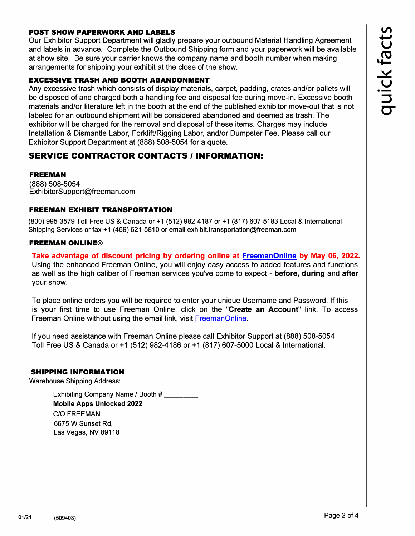### POST SHOW PAPERWORK AND LABELS

Our Exhibitor Support Department will gladly prepare your outbound Material Handling Agreement and labels in advance. Complete the Outbound Shipping form and your paperwork will be available at show site. Be sure your carrier knows the company name and booth number when making arrangements for shipping your exhibit at the close of the show.

#### EXCESSIVE TRASH AND BOOTH ABANDONMENT

Any excessive trash which consists of display materials, carpet, padding, crates and/or pallets will be disposed of and charged both a handling fee and disposal fee during move-in. Excessive booth materials and/or literature left in the booth at the end of the published exhibitor move-out that is not labeled for an outbound shipment will be considered abandoned and deemed as trash. The exhibitor will be charged for the removal and disposal of these items. Charges may include Installation & Dismantle Labor, Forklift/Rigging Labor, and/or Dumpster Fee. Please call our Exhibitor Support Department at (888) 508-5054 for a quote.

# **SERVICE CONTRACTOR CONTACTS / INFORMATION:**

#### FREEMAN

(888) 508-5054 ExhibitorSupport@freeman.com

### FREEMAN EXHIBIT TRANSPORTATION

(800) 995-3579 Toll Free US & Canada or +1 (512) 982-4187 or +1 (817) 607-5183 Local & International Shipping Services or fax +1 (469) 621-5810 or email exhibit.transportation@freeman.com

#### FREEMAN ONLINE®

**Take advantage of discount pricing by ordering online at [FreemanOnline](https://www.freemanco.com/store?utm_source=Forms&utm_medium=PDF) by May 06, 2022.**  Using the enhanced Freeman Online, you will enjoy easy access to added features and functions as well as the high caliber of Freeman services you've come to expect - **before, during** and **after**  your show.

To place online orders you will be required to enter your unique Username and Password. If this is your first time to use Freeman Online, click on the **"Create an Account"** link. To access Freeman Online without using the email link, visit [FreemanOnline.](https://www.freemanco.com/store?utm_source=Forms&utm_medium=PDF) 

If you need assistance with Freeman Online please call Exhibitor Support at (888) 508-5054 Toll Free US & Canada or +1 (512) 982-4186 or +1 (817) 607-5000 Local & International.

### SHIPPING INFORMATION

Warehouse Shipping Address:

Exhibiting Company Name / Booth # **Mobile Apps Unlocked 2022** C/O FREEMAN 6675 W Sunset Rd, Las Vegas, NV 89118